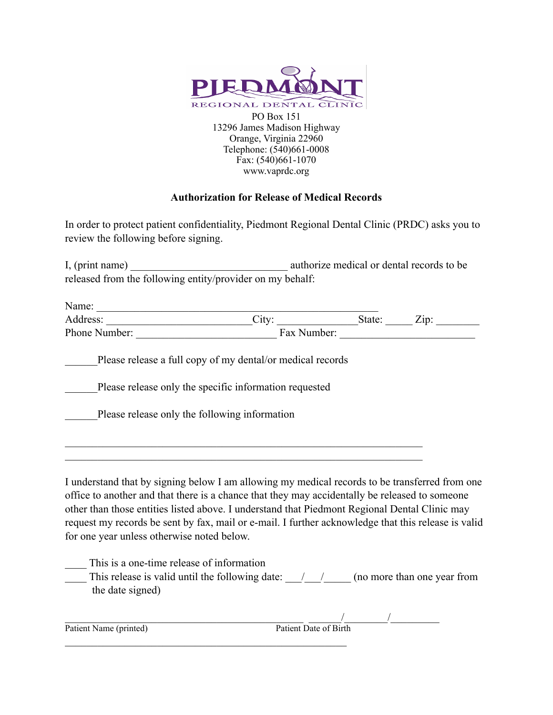

## **Authorization for Release of Medical Records**

In order to protect patient confidentiality, Piedmont Regional Dental Clinic (PRDC) asks you to review the following before signing.

I, (print name) authorize medical or dental records to be released from the following entity/provider on my behalf:

| Name:                                                                                                                                                                                                                                                                                                                                                                                                                                                  |                                                            |             |             |
|--------------------------------------------------------------------------------------------------------------------------------------------------------------------------------------------------------------------------------------------------------------------------------------------------------------------------------------------------------------------------------------------------------------------------------------------------------|------------------------------------------------------------|-------------|-------------|
| Address:                                                                                                                                                                                                                                                                                                                                                                                                                                               | City:                                                      | State: Zip: |             |
| Phone Number:<br><u> 1980 - Jan Barbara Barat, manala</u>                                                                                                                                                                                                                                                                                                                                                                                              |                                                            |             | Fax Number: |
|                                                                                                                                                                                                                                                                                                                                                                                                                                                        | Please release a full copy of my dental/or medical records |             |             |
|                                                                                                                                                                                                                                                                                                                                                                                                                                                        | Please release only the specific information requested     |             |             |
| Please release only the following information                                                                                                                                                                                                                                                                                                                                                                                                          |                                                            |             |             |
|                                                                                                                                                                                                                                                                                                                                                                                                                                                        |                                                            |             |             |
| I understand that by signing below I am allowing my medical records to be transferred from one<br>office to another and that there is a chance that they may accidentally be released to someone<br>other than those entities listed above. I understand that Piedmont Regional Dental Clinic may<br>request my records be sent by fax, mail or e-mail. I further acknowledge that this release is valid<br>for one year unless otherwise noted below. |                                                            |             |             |

| This is a one-time release of information       |                             |
|-------------------------------------------------|-----------------------------|
| This release is valid until the following date: | (no more than one year from |
| the date signed)                                |                             |

| Patient Name (printed) | Patient Date of Birth |  |
|------------------------|-----------------------|--|
|                        |                       |  |